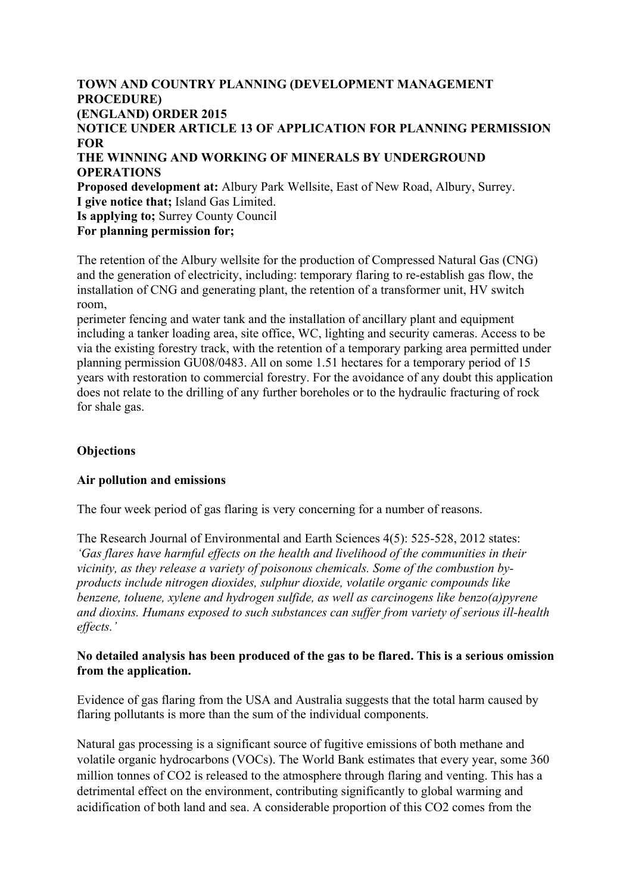# **TOWN AND COUNTRY PLANNING (DEVELOPMENT MANAGEMENT PROCEDURE) (ENGLAND) ORDER 2015 NOTICE UNDER ARTICLE 13 OF APPLICATION FOR PLANNING PERMISSION FOR THE WINNING AND WORKING OF MINERALS BY UNDERGROUND OPERATIONS Proposed development at:** Albury Park Wellsite, East of New Road, Albury, Surrey. **I give notice that;** Island Gas Limited. **Is applying to;** Surrey County Council **For planning permission for;**

The retention of the Albury wellsite for the production of Compressed Natural Gas (CNG) and the generation of electricity, including: temporary flaring to re-establish gas flow, the installation of CNG and generating plant, the retention of a transformer unit, HV switch room,

perimeter fencing and water tank and the installation of ancillary plant and equipment including a tanker loading area, site office, WC, lighting and security cameras. Access to be via the existing forestry track, with the retention of a temporary parking area permitted under planning permission GU08/0483. All on some 1.51 hectares for a temporary period of 15 years with restoration to commercial forestry. For the avoidance of any doubt this application does not relate to the drilling of any further boreholes or to the hydraulic fracturing of rock for shale gas.

# **Objections**

# **Air pollution and emissions**

The four week period of gas flaring is very concerning for a number of reasons.

The Research Journal of Environmental and Earth Sciences 4(5): 525-528, 2012 states: *'Gas flares have harmful effects on the health and livelihood of the communities in their vicinity, as they release a variety of poisonous chemicals. Some of the combustion byproducts include nitrogen dioxides, sulphur dioxide, volatile organic compounds like benzene, toluene, xylene and hydrogen sulfide, as well as carcinogens like benzo(a)pyrene and dioxins. Humans exposed to such substances can suffer from variety of serious ill-health effects.'*

# **No detailed analysis has been produced of the gas to be flared. This is a serious omission from the application.**

Evidence of gas flaring from the USA and Australia suggests that the total harm caused by flaring pollutants is more than the sum of the individual components.

Natural gas processing is a significant source of fugitive emissions of both methane and volatile organic hydrocarbons (VOCs). The World Bank estimates that every year, some 360 million tonnes of CO2 is released to the atmosphere through flaring and venting. This has a detrimental effect on the environment, contributing significantly to global warming and acidification of both land and sea. A considerable proportion of this CO2 comes from the